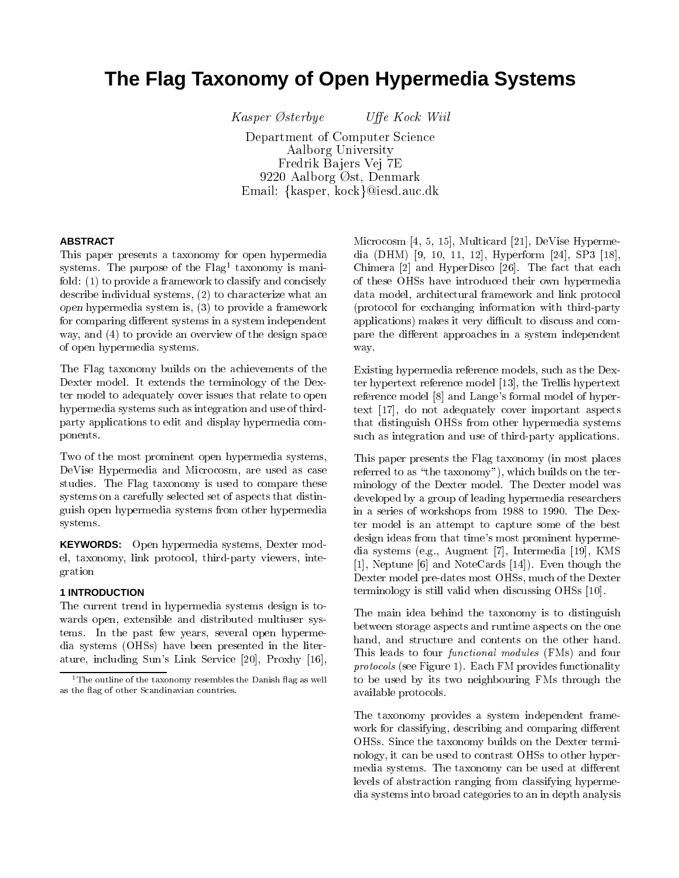# **The Flag Taxonomy of Open Hypermedia Systems**

 $Kasper$  Østerbye

Uffe Kock Wiil

Department of Computer Science Aalborg University Fredrik Ba jers Vej 7E 9220 Aalborg Øst, Denmark Email: {kasper, kock}@iesd.auc.dk

# **ABSTRACT**

This paper presents a taxonomy for open hypermedia systems. The purpose of the Flag-taxonomy is manifold: (1) to provide a framework to classify and concisely describe individual systems, (2) to characterize what an open hypermedia system is, (3) to provide a framework for comparing different systems in a system independent way, and (4) to provide an overview of the design space of open hypermedia systems.

The Flag taxonomy builds on the achievements of the Dexter model. It extends the terminology of the Dexter model to adequately cover issues that relate to open hypermedia systems such as integration and use of thirdparty applications to edit and display hypermedia components.

Two of the most prominent open hypermedia systems, DeVise Hypermedia and Microcosm, are used as case studies. The Flag taxonomy is used to compare these systems on a carefully selected set of aspects that distinguish open hypermedia systems from other hypermedia systems.

**KEYWORDS:** Open hypermedia systems, Dexter model, taxonomy, link protocol, third-party viewers, integration

## **1 INTRODUCTION**

The current trend in hypermedia systems design is to wards open, extensible and distributed multiuser systems. In the past few years, several open hypermedia systems (OHSs) have been presented in the literature, including Sun's Link Service [20], Proxhy [16],

Microcosm [4, 5, 15], Multicard [21], DeVise Hypermedia (DHM) [9, 10, 11, 12], Hyperform [24], SP3 [18], Chimera [2] and HyperDisco [26]. The fact that each of these OHSs have introduced their own hypermedia data model, architectural framework and link protocol (protocol for exchanging information with third-party applications) makes it very difficult to discuss and compare the different approaches in a system independent way.

Existing hypermedia reference models, such as the Dexter hypertext reference model [13], the Trellis hypertext reference model [8] and Lange's formal model of hypertext [17], do not adequately cover important aspects that distinguish OHSs from other hypermedia systems such as integration and use of third-party applications.

This paper presents the Flag taxonomy (in most places referred to as "the taxonomy"), which builds on the terminology of the Dexter model. The Dexter model was developed by a group of leading hypermedia researchers in a series of workshops from 1988 to 1990. The Dexter model is an attempt to capture some of the best design ideas from that time's most prominent hypermedia systems (e.g., Augment [7], Intermedia [19], KMS [1], Neptune [6] and NoteCards [14]). Even though the Dexter model pre-dates most OHSs, much of the Dexter terminology is still valid when discussing OHSs [10].

The main idea behind the taxonomy is to distinguish between storage aspects and runtime aspects on the one hand, and structure and contents on the other hand. This leads to four functional modules (FMs) and four protocols (see Figure 1). Each FM provides functionality to be used by its two neighbouring FMs through the available protocols.

The taxonomy provides a system independent frame work for classifying, describing and comparing different OHSs. Since the taxonomy builds on the Dexter terminology, it can be used to contrast OHSs to other hypermedia systems. The taxonomy can be used at different levels of abstraction ranging from classifying hypermedia systems into broad categories to an in depth analysis

<sup>&</sup>lt;sup>1</sup> The outline of the taxonomy resembles the Danish flag as well as the 
ag of other Scandinavian countries.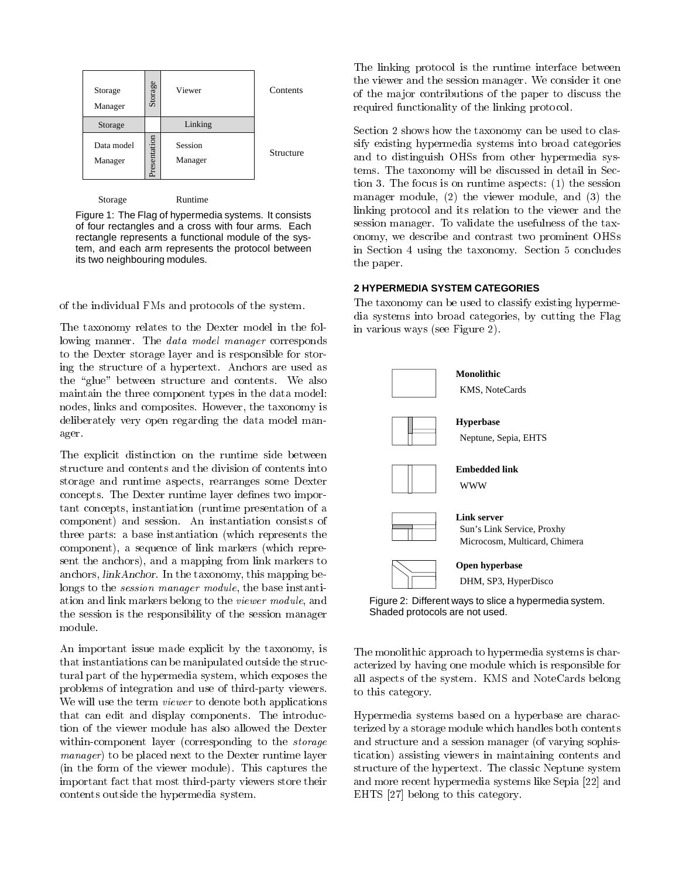| Storage<br>Manager    | Storage      | Viewer             | Contents  |
|-----------------------|--------------|--------------------|-----------|
| Storage               |              | Linking            |           |
| Data model<br>Manager | Presentation | Session<br>Manager | Structure |

Storage Runtime

Figure 1: The Flag of hypermedia systems. It consists of four rectangles and a cross with four arms. Each rectangle represents a functional module of the system, and each arm represents the protocol between its two neighbouring modules.

of the individual FMs and protocols of the system.

The taxonomy relates to the Dexter model in the following manner. The *data model manager* corresponds to the Dexter storage layer and is responsible for storing the structure of a hypertext. Anchors are used as the "glue" between structure and contents. We also maintain the three component types in the data model: nodes, links and composites. However, the taxonomy is deliberately very open regarding the data model manager.

The explicit distinction on the runtime side between structure and contents and the division of contents into storage and runtime aspects, rearranges some Dexter concepts. The Dexter runtime layer defines two important concepts, instantiation (runtime presentation of a component) and session. An instantiation consists of three parts: a base instantiation (which represents the component), a sequence of link markers (which represent the anchors), and a mapping from link markers to anchors, linkAnchor. In the taxonomy, this mapping belongs to the *session manager module*, the base instantiation and link markers belong to the viewer module, and the session is the responsibility of the session manager

An important issue made explicit by the taxonomy, is that instantiations can be manipulated outside the structural part of the hypermedia system, which exposes the problems of integration and use of third-party viewers. We will use the term *viewer* to denote both applications that can edit and display components. The introduction of the viewer module has also allowed the Dexter within-component layer (corresponding to the *storage* manager) to be placed next to the Dexter runtime layer (in the form of the viewer module). This captures the important fact that most third-party viewers store their contents outside the hypermedia system.

The linking protocol is the runtime interface between the viewer and the session manager. We consider it one of the ma jor contributions of the paper to discuss the required functionality of the linking protocol.

Section 2 shows how the taxonomy can be used to classify existing hypermedia systems into broad categories and to distinguish OHSs from other hypermedia systems. The taxonomy will be discussed in detail in Section 3. The focus is on runtime aspects: (1) the session manager module, (2) the viewer module, and (3) the linking protocol and its relation to the viewer and the session manager. To validate the usefulness of the taxonomy, we describe and contrast two prominent OHSs in Section 4 using the taxonomy. Section 5 concludes the paper.

## **2 HYPERMEDIA SYSTEM CATEGORIES**

The taxonomy can be used to classify existing hypermedia systems into broad categories, by cutting the Flag in various ways (see Figure 2).



Figure 2: Different ways to slice a hypermedia system. Shaded protocols are not used.

The monolithic approach to hypermedia systems is characterized by having one module which is responsible for all aspects of the system. KMS and NoteCards belong to this category.

Hypermedia systems based on a hyperbase are characterized by a storage module which handles both contents and structure and a session manager (of varying sophistication) assisting viewers in maintaining contents and structure of the hypertext. The classic Neptune system and more recent hypermedia systems like Sepia [22] and EHTS [27] belong to this category.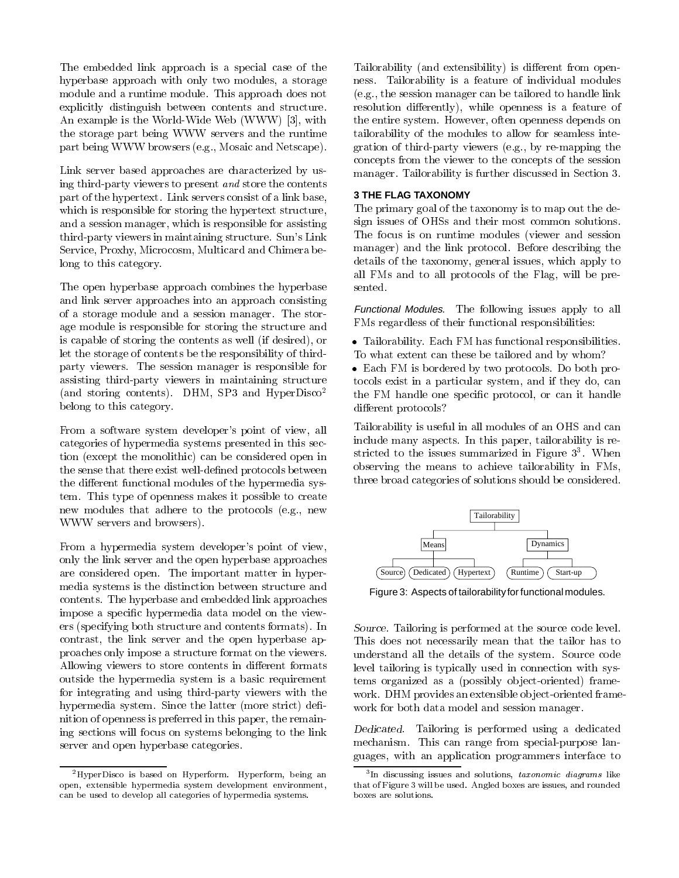The embedded link approach is a special case of the hyperbase approach with only two modules, a storage module and a runtime module. This approach does not explicitly distinguish between contents and structure. An example is the World-Wide Web (WWW) [3], with the storage part being WWW servers and the runtime part being WWW browsers (e.g., Mosaic and Netscape).

Link server based approaches are characterized by using third-party viewers to present and store the contents part of the hypertext. Link servers consist of a link base, which is responsible for storing the hypertext structure, and a session manager, which is responsible for assisting third-party viewers in maintaining structure. Sun's Link Service, Proxhy, Microcosm, Multicard and Chimera belong to this category.

The open hyperbase approach combines the hyperbase and link server approaches into an approach consisting of a storage module and a session manager. The storage module is responsible for storing the structure and is capable of storing the contents as well (if desired), or let the storage of contents be the responsibility of thirdparty viewers. The session manager is responsible for assisting third-party viewers in maintaining structure (and storing contents). DHM, SP3 and HyperDisco2 belong to this category.

From a software system developer's point of view, all categories of hypermedia systems presented in this section (except the monolithic) can be considered open in the sense that there exist well-defined protocols between the different functional modules of the hypermedia system. This type of openness makes it possible to create new modules that adhere to the protocols (e.g., new WWW servers and browsers).

From a hypermedia system developer's point of view, only the link server and the open hyperbase approaches are considered open. The important matter in hypermedia systems is the distinction between structure and contents. The hyperbase and embedded link approaches impose a specic hypermedia data model on the viewers (specifying both structure and contents formats). In contrast, the link server and the open hyperbase approaches only impose a structure format on the viewers. Allowing viewers to store contents in different formats outside the hypermedia system is a basic requirement for integrating and using third-party viewers with the hypermedia system. Since the latter (more strict) definition of openness is preferred in this paper, the remaining sections will focus on systems belonging to the link server and open hyperbase categories.

2HyperDisco is based on Hyperform. Hyperform, being an open, extensible hypermedia system development environment, can be used to develop all categories of hypermedia systems.

Tailorability (and extensibility) is different from openness. Tailorability is a feature of individual modules (e.g., the session manager can be tailored to handle link resolution differently), while openness is a feature of the entire system. However, often openness depends on tailorability of the modules to allow for seamless integration of third-party viewers (e.g., by re-mapping the concepts from the viewer to the concepts of the session manager. Tailorability is further discussed in Section 3.

## **3 THE FLAG TAXONOMY**

The primary goal of the taxonomy is to map out the design issues of OHSs and their most common solutions. The focus is on runtime modules (viewer and session manager) and the link protocol. Before describing the details of the taxonomy, general issues, which apply to all FMs and to all protocols of the Flag, will be presented.

Functional Modules. The following issues apply to all FMs regardless of their functional responsibilities:

 Tailorability. Each FM has functional responsibilities. To what extent can these be tailored and by whom?

 Each FM is bordered by two protocols. Do both protocols exist in a particular system, and if they do, can the FM handle one specic protocol, or can it handle different protocols?

Tailorability is useful in all modules of an OHS and can include many aspects. In this paper, tailorability is restricted to the issues summarized in Figure 3<sup>3</sup> . When observing the means to achieve tailorability in FMs, three broad categories of solutions should be considered.



Figure 3: Aspects of tailorability for functional modules.

Source. Tailoring is performed at the source code level. This does not necessarily mean that the tailor has to understand all the details of the system. Source code level tailoring is typically used in connection with systems organized as a (possibly object-oriented) framework. DHM provides an extensible object-oriented framework for both data model and session manager.

Dedicated. Tailoring is performed using a dedicated mechanism. This can range from special-purpose languages, with an application programmers interface to

<sup>&</sup>lt;sup>3</sup>In discussing issues and solutions, taxonomic diagrams like that of Figure 3 will be used. Angled boxes are issues, and rounded boxes are solutions.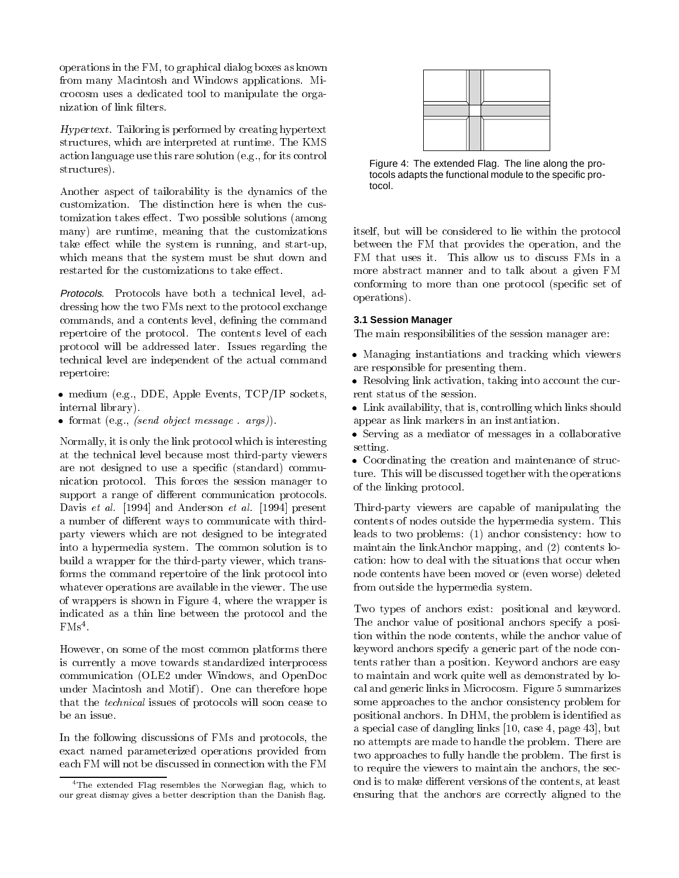operations in the FM, to graphical dialog boxes as known from many Macintosh and Windows applications. Microcosm uses a dedicated tool to manipulate the organization of link filters.

Hypertext. Tailoring is performed by creating hypertext structures, which are interpreted at runtime. The KMS action language use this rare solution (e.g., for its control structures).

Another aspect of tailorability is the dynamics of the customization. The distinction here is when the customization takes effect. Two possible solutions (among many) are runtime, meaning that the customizations take effect while the system is running, and start-up, which means that the system must be shut down and restarted for the customizations to take effect.

Protocols. Protocols have both a technical level, addressing how the two FMs next to the protocol exchange commands, and a contents level, defining the command repertoire of the protocol. The contents level of each protocol will be addressed later. Issues regarding the technical level are independent of the actual command repertoire:

- medium (e.g., DDE, Apple Events, TCP/IP sockets, internal library).
- format (e.g., (send object message . args)).

Normally, it is only the link protocol which is interesting setting. at the technical level because most third-party viewers are not designed to use a specific (standard) communication protocol. This forces the session manager to support a range of different communication protocols. Davis et al. [1994] and Anderson et al. [1994] present a number of different ways to communicate with thirdparty viewers which are not designed to be integrated into a hypermedia system. The common solution is to build a wrapper for the third-party viewer, which transforms the command repertoire of the link protocol into whatever operations are available in the viewer. The use of wrappers is shown in Figure 4, where the wrapper is indicated as a thin line between the protocol and the r Misters

However, on some of the most common platforms there is currently a move towards standardized interprocess communication (OLE2 under Windows, and OpenDoc under Macintosh and Motif). One can therefore hope that the technical issues of protocols will soon cease to be an issue.

In the following discussions of FMs and protocols, the exact named parameterized operations provided from each FM will not be discussed in connection with the FM



Figure 4: The extended Flag. The line along the protocols adapts the functional module to the specific protocol.

itself, but will be considered to lie within the protocol between the FM that provides the operation, and the FM that uses it. This allow us to discuss FMs in a more abstract manner and to talk about a given FM conforming to more than one protocol (specic set of operations).

## **3.1 Session Manager**

The main responsibilities of the session manager are:

- Managing instantiations and tracking which viewers are responsible for presenting them.
- Resolving link activation, taking into account the current status of the session.
- $\mathcal{L}$  are isomorphic and is, controlled which links shown which links shown is a shown of  $\mathcal{L}$ appear as link markers in an instantiation.
- Serving as a mediator of messages in a collaborative setting.

coordination and creation and maintenance of structure ture. This will be discussed together with the operations of the linking protocol.

Third-party viewers are capable of manipulating the contents of nodes outside the hypermedia system. This leads to two problems: (1) anchor consistency: how to maintain the linkAnchor mapping, and (2) contents location: how to deal with the situations that occur when node contents have been moved or (even worse) deleted from outside the hypermedia system.

Two types of anchors exist: positional and keyword. The anchor value of positional anchors specify a position within the node contents, while the anchor value of keyword anchors specify a generic part of the node contents rather than a position. Keyword anchors are easy to maintain and work quite well as demonstrated by local and generic links in Microcosm. Figure 5 summarizes some approaches to the anchor consistency problem for positional anchors. In DHM, the problem is identied as a special case of dangling links [10, case 4, page 43], but no attempts are made to handle the problem. There are two approaches to fully handle the problem. The first is to require the viewers to maintain the anchors, the second is to make different versions of the contents, at least ensuring that the anchors are correctly aligned to the

 $4$ The extended Flag resembles the Norwegian flag, which to our great dismay gives a better description than the Danish 
ag.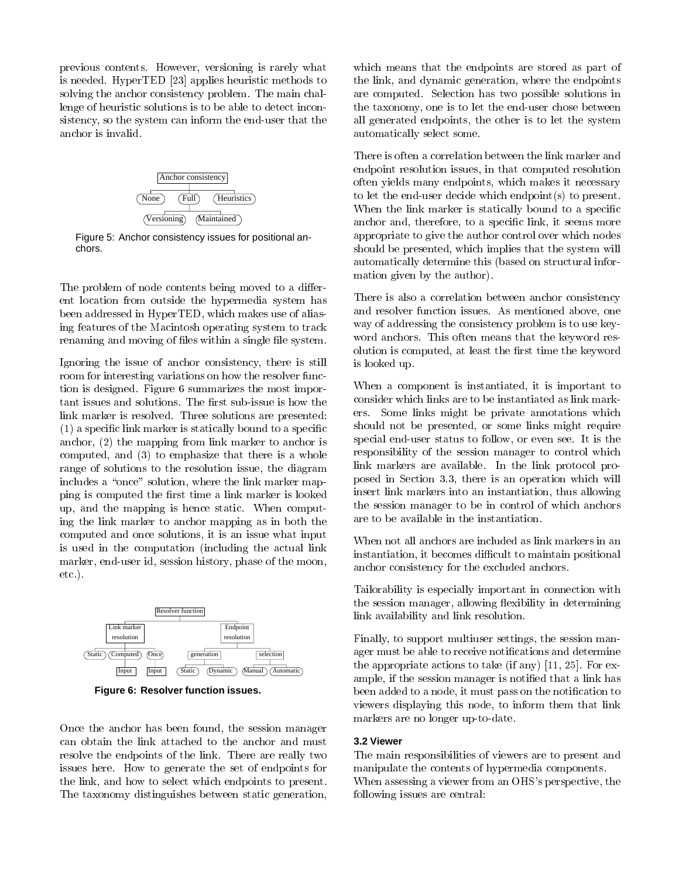previous contents. However, versioning is rarely what is needed. HyperTED [23] applies heuristic methods to solving the anchor consistency problem. The main challenge of heuristic solutions is to be able to detect inconsistency, so the system can inform the end-user that the anchor is invalid.



Figure 5: Anchor consistency issues for positional anchors.

The problem of node contents being moved to a different location from outside the hypermedia system has been addressed in HyperTED, which makes use of aliasing features of the Macintosh operating system to track renaming and moving of files within a single file system.

Ignoring the issue of anchor consistency, there is still room for interesting variations on how the resolver function is designed. Figure 6 summarizes the most important issues and solutions. The first sub-issue is how the link marker is resolved. Three solutions are presented: (1) a specic link marker is statically bound to a specic anchor, (2) the mapping from link marker to anchor is computed, and (3) to emphasize that there is a whole range of solutions to the resolution issue, the diagram includes a "once" solution, where the link marker mapping is computed the first time a link marker is looked up, and the mapping is hence static. When computing the link marker to anchor mapping as in both the computed and once solutions, it is an issue what input is used in the computation (including the actual link marker, end-user id, session history, phase of the moon, etc.).



**Figure 6: Resolver function issues.**

Once the anchor has been found, the session manager can obtain the link attached to the anchor and must resolve the endpoints of the link. There are really two issues here. How to generate the set of endpoints for the link, and how to select which endpoints to present. The taxonomy distinguishes between static generation, which means that the endpoints are stored as part of the link, and dynamic generation, where the endpoints are computed. Selection has two possible solutions in the taxonomy, one is to let the end-user chose between all generated endpoints, the other is to let the system automatically select some.

There is often a correlation between the link marker and endpoint resolution issues, in that computed resolution often yields many endpoints, which makes it necessary to let the end-user decide which endpoint(s) to present. When the link marker is statically bound to a specific anchor and, therefore, to a specic link, it seems more appropriate to give the author control over which nodes should be presented, which implies that the system will automatically determine this (based on structural information given by the author).

There is also a correlation between anchor consistency and resolver function issues. As mentioned above, one way of addressing the consistency problem is to use key word anchors. This often means that the keyword resolution is computed, at least the first time the keyword is looked up.

When a component is instantiated, it is important to consider which links are to be instantiated as link markers. Some links might be private annotations which should not be presented, or some links might require special end-user status to follow, or even see. It is the responsibility of the session manager to control which link markers are available. In the link protocol proposed in Section 3.3, there is an operation which will insert link markers into an instantiation, thus allowing the session manager to be in control of which anchors are to be available in the instantiation.

When not all anchors are included as link markers in an instantiation, it becomes difficult to maintain positional anchor consistency for the excluded anchors.

Tailorability is especially important in connection with the session manager, allowing flexibility in determining link availability and link resolution.

Finally, to support multiuser settings, the session manager must be able to receive notifications and determine the appropriate actions to take (if any) [11, 25]. For example, if the session manager is notied that a link has been added to a node, it must pass on the notification to viewers displaying this node, to inform them that link markers are no longer up-to-date.

#### **3.2 Viewer**

The main responsibilities of viewers are to present and manipulate the contents of hypermedia components. When assessing a viewer from an OHS's perspective, the following issues are central: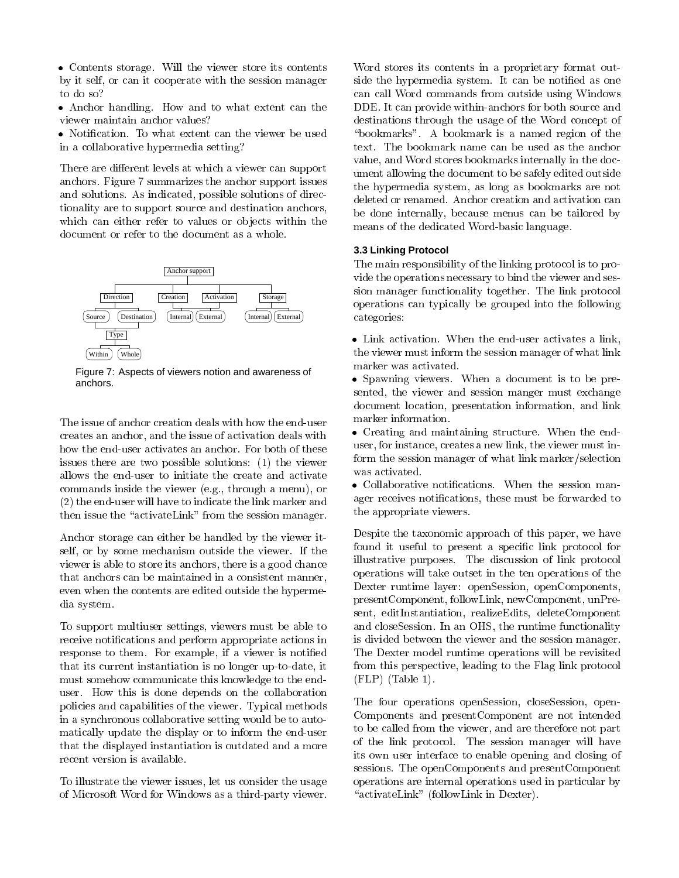Contents storage. Will the viewer store its contents by it self, or can it cooperate with the session manager to do so?

 $\mathbf{H}$ viewer maintain anchor values?

in a collaborative hypermedia setting?

There are different levels at which a viewer can support anchors. Figure 7 summarizes the anchor support issues and solutions. As indicated, possible solutions of directionality are to support source and destination anchors, which can either refer to values or objects within the document or refer to the document as a whole.



Figure 7: Aspects of viewers notion and awareness of anchors.

The issue of anchor creation deals with how the end-user creates an anchor, and the issue of activation deals with how the end-user activates an anchor. For both of these issues there are two possible solutions:  $(1)$  the viewer form the sessional polynomial state in the contract of the contract was activated. allows the end-user to initiate the create and activate commands inside the viewer (e.g., through a menu), or (2) the end-user will have to indicate the link marker and then issue the "activateLink" from the session manager.

Anchor storage can either be handled by the viewer itself, or by some mechanism outside the viewer. If the viewer is able to store its anchors, there is a good chance that anchors can be maintained in a consistent manner, even when the contents are edited outside the hypermedia system.

To support multiuser settings, viewers must be able to receive notifications and perform appropriate actions in response to them. For example, if a viewer is notied that its current instantiation is no longer up-to-date, it must somehow communicate this knowledge to the enduser. How this is done depends on the collaboration policies and capabilities of the viewer. Typical methods in a synchronous collaborative setting would be to automatically update the display or to inform the end-user that the displayed instantiation is outdated and a more recent version is available.

To illustrate the viewer issues, let us consider the usage of Microsoft Word for Windows as a third-party viewer.

Word stores its contents in a proprietary format outside the hypermedia system. It can be notied as one can call Word commands from outside using Windows DDE. It can provide within-anchors for both source and destinations through the usage of the Word concept of "bookmarks". A bookmark is a named region of the text. The bookmark name can be used as the anchor value, and Word stores bookmarks internally in the document allowing the document to be safely edited outside the hypermedia system, as long as bookmarks are not deleted or renamed. Anchor creation and activation can be done internally, because menus can be tailored by means of the dedicated Word-basic language.

## **3.3 Linking Protocol**

The main responsibility of the linking protocol is to provide the operations necessary to bind the viewer and session manager functionality together. The link protocol operations can typically be grouped into the following categories:

 Link activation. When the end-user activates a link, the viewer must inform the session manager of what link marker was activated.

 Spawning viewers. When a document is to be presented, the viewer and session manger must exchange document location, presentation information, and link marker information.

 Creating and maintaining structure. When the enduser, for instance, creates a new link, the viewer must inform the session manager of what link marker/selection

ager receives notifications, these must be forwarded to the appropriate viewers.

Despite the taxonomic approach of this paper, we have found it useful to present a specific link protocol for illustrative purposes. The discussion of link protocol operations will take outset in the ten operations of the Dexter runtime layer: openSession, openComponents, presentComponent, followLink, newComponent, unPresent, editInstantiation, realizeEdits, deleteComponent and closeSession. In an OHS, the runtime functionality is divided between the viewer and the session manager. The Dexter model runtime operations will be revisited from this perspective, leading to the Flag link protocol (FLP) (Table 1).

The four operations openSession, closeSession, open-Components and presentComponent are not intended to be called from the viewer, and are therefore not part of the link protocol. The session manager will have its own user interface to enable opening and closing of sessions. The openComponents and presentComponent operations are internal operations used in particular by "activateLink" (followLink in Dexter).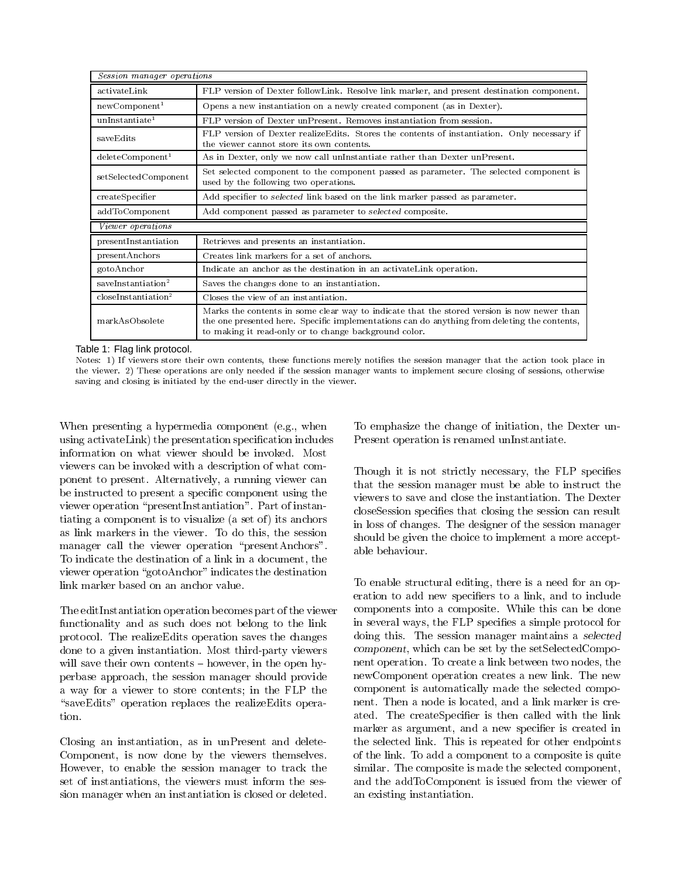| Session manager operations      |                                                                                                                                                                                                                                                     |
|---------------------------------|-----------------------------------------------------------------------------------------------------------------------------------------------------------------------------------------------------------------------------------------------------|
| activateLink                    | FLP version of Dexter followLink. Resolve link marker, and present destination component.                                                                                                                                                           |
| newComponent <sup>1</sup>       | Opens a new instantiation on a newly created component (as in Dexter).                                                                                                                                                                              |
| unInstantiate <sup>1</sup>      | FLP version of Dexter unPresent. Removes instantiation from session.                                                                                                                                                                                |
| saveEdits                       | FLP version of Dexter realizeEdits. Stores the contents of instantiation. Only necessary if<br>the viewer cannot store its own contents.                                                                                                            |
| $delet$ e $Component1$          | As in Dexter, only we now call unInstantiate rather than Dexter unPresent.                                                                                                                                                                          |
| setSelectedComponent            | Set selected component to the component passed as parameter. The selected component is<br>used by the following two operations.                                                                                                                     |
| createSpecifier                 | Add specifier to selected link based on the link marker passed as parameter.                                                                                                                                                                        |
| addToComponent                  | Add component passed as parameter to selected composite.                                                                                                                                                                                            |
| Viewer operations               |                                                                                                                                                                                                                                                     |
| present Instantiation           | Retrieves and presents an instantiation.                                                                                                                                                                                                            |
| present Anchors                 | Creates link markers for a set of anchors.                                                                                                                                                                                                          |
| gotoAnchor                      | Indicate an anchor as the destination in an activateLink operation.                                                                                                                                                                                 |
| saveInstantiation <sup>2</sup>  | Saves the changes done to an instantiation.                                                                                                                                                                                                         |
| closeInstantiation <sup>2</sup> | Closes the view of an instantiation.                                                                                                                                                                                                                |
| markAsObsolete                  | Marks the contents in some clear way to indicate that the stored version is now newer than<br>the one presented here. Specific implementations can do anything from deleting the contents,<br>to making it read-only or to change background color. |

Table 1: Flag link protocol.

Notes: 1) If viewers store their own contents, these functions merely noties the session manager that the action took place in the viewer. 2) These operations are only needed if the session manager wants to implement secure closing of sessions, otherwise saving and closing is initiated by the end-user directly in the viewer.

When presenting a hypermedia component (e.g., when using activateLink) the presentation specification includes information on what viewer should be invoked. Most viewers can be invoked with a description of what component to present. Alternatively, a running viewer can be instructed to present a specific component using the viewers to save and close the instantiation. The Dexter viewer operation \presentInstantiation". Part of instantiating a component is to visualize (a set of ) its anchors as link markers in the viewer. To do this, the session manager call the viewer operation "presentAnchors". To indicate the destination of a link in a document, the viewer operation "gotoAnchor" indicates the destination link marker based on an anchor value.

The editInstantiation operation becomes part of the viewer functionality and as such does not belong to the link protocol. The realizeEdits operation saves the changes done to a given instantiation. Most third-party viewers will save their own contents  $-$  however, in the open hyperbase approach, the session manager should provide a way for a viewer to store contents; in the FLP the "saveEdits" operation replaces the realizeEdits operation.

Closing an instantiation, as in unPresent and delete-Component, is now done by the viewers themselves. However, to enable the session manager to track the set of instantiations, the viewers must inform the session manager when an instantiation is closed or deleted.

To emphasize the change of initiation, the Dexter un-Present operation is renamed unInstantiate.

Though it is not strictly necessary, the FLP specifies that the session manager must be able to instruct the closeSession species that closing the session can result in loss of changes. The designer of the session manager should be given the choice to implement a more acceptable behaviour.

To enable structural editing, there is a need for an operation to add new specifiers to a link, and to include components into a composite. While this can be done in several ways, the FLP specifies a simple protocol for doing this. The session manager maintains a selected component, which can be set by the setSelectedComponent operation. To create a link between two nodes, the newComponent operation creates a new link. The new component is automatically made the selected component. Then a node is located, and a link marker is created. The createSpecifier is then called with the link marker as argument, and a new specifier is created in the selected link. This is repeated for other endpoints of the link. To add a component to a composite is quite similar. The composite is made the selected component, and the addToComponent is issued from the viewer of an existing instantiation.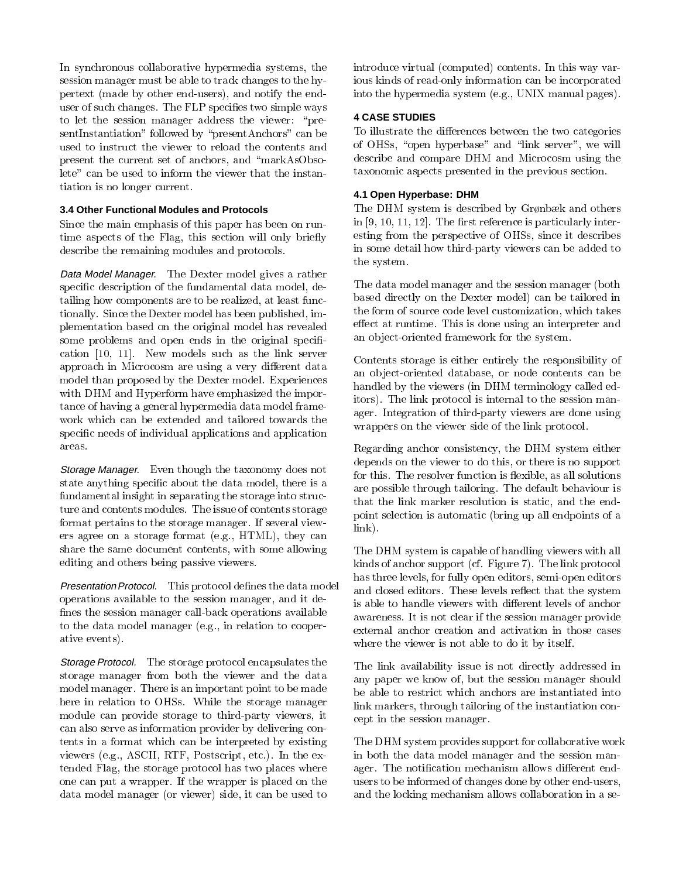In synchronous collaborative hypermedia systems, the session manager must be able to track changes to the hypertext (made by other end-users), and notify the enduser of such changes. The FLP specifies two simple ways to let the session manager address the viewer: "presentInstantiation" followed by "presentAnchors" can be used to instruct the viewer to reload the contents and present the current set of anchors, and \markAsObsolete" can be used to inform the viewer that the instantiation is no longer current.

## **3.4 Other Functional Modules and Protocols**

Since the main emphasis of this paper has been on runtime aspects of the Flag, this section will only briefly describe the remaining modules and protocols.

Data Model Manager. The Dexter model gives a rather specific description of the fundamental data model, detailing how components are to be realized, at least functionally. Since the Dexter model has been published, implementation based on the original model has revealed some problems and open ends in the original specification [10,11]. New models such as the link server approach in Microcosm are using a very different data model than proposed by the Dexter model. Experiences with DHM and Hyperform have emphasized the importance of having a general hypermedia data model frame work which can be extended and tailored towards the specic needs of individual applications and application areas.

Storage Manager. Even though the taxonomy does not state anything specic about the data model, there is a fundamental insight in separating the storage into structure and contents modules. The issue of contents storage format pertains to the storage manager. If several viewers agree on a storage format (e.g., HTML), they can share the same document contents, with some allowing editing and others being passive viewers.

Presentation Protocol. This protocol defines the data model operations available to the session manager, and it de fines the session manager call-back operations available to the data model manager (e.g., in relation to cooperative events).

Storage Protocol. The storage protocol encapsulates the storage manager from both the viewer and the data model manager. There is an important point to be made here in relation to OHSs. While the storage manager module can provide storage to third-party viewers, it can also serve as information provider by delivering contents in a format which can be interpreted by existing viewers (e.g., ASCII, RTF, Postscript, etc.). In the extended Flag, the storage protocol has two places where one can put a wrapper. If the wrapper is placed on the data model manager (or viewer) side, it can be used to

introduce virtual (computed) contents. In this way various kinds of read-only information can be incorporated into the hypermedia system (e.g., UNIX manual pages).

## **4 CASE STUDIES**

To illustrate the differences between the two categories of OHSs, "open hyperbase" and "link server", we will describe and compare DHM and Microcosm using the taxonomic aspects presented in the previous section.

## **4.1 Open Hyperbase: DHM**

The DHM system is described by Grønbæk and others in  $[9, 10, 11, 12]$ . The first reference is particularly interesting from the perspective of OHSs, since it describes in some detail how third-party viewers can be added to the system.

The data model manager and the session manager (both based directly on the Dexter model) can be tailored in the form of source code level customization, which takes effect at runtime. This is done using an interpreter and an ob ject-oriented framework for the system.

Contents storage is either entirely the responsibility of an ob ject-oriented database, or node contents can be handled by the viewers (in DHM terminology called editors). The link protocol is internal to the session manager. Integration of third-party viewers are done using wrappers on the viewer side of the link protocol.

Regarding anchor consistency, the DHM system either depends on the viewer to do this, or there is no support for this. The resolver function is flexible, as all solutions are possible through tailoring. The default behaviour is that the link marker resolution is static, and the endpoint selection is automatic (bring up all endpoints of a link).

The DHM system is capable of handling viewers with all kinds of anchor support (cf. Figure 7). The link protocol has three levels, for fully open editors, semi-open editors and closed editors. These levels reflect that the system is able to handle viewers with different levels of anchor awareness. It is not clear if the session manager provide external anchor creation and activation in those cases where the viewer is not able to do it by itself.

The link availability issue is not directly addressed in any paper we know of, but the session manager should be able to restrict which anchors are instantiated into link markers, through tailoring of the instantiation concept in the session manager.

The DHM system provides support for collaborative work in both the data model manager and the session manager. The notification mechanism allows different endusers to be informed of changes done by other end-users, and the locking mechanism allows collaboration in a se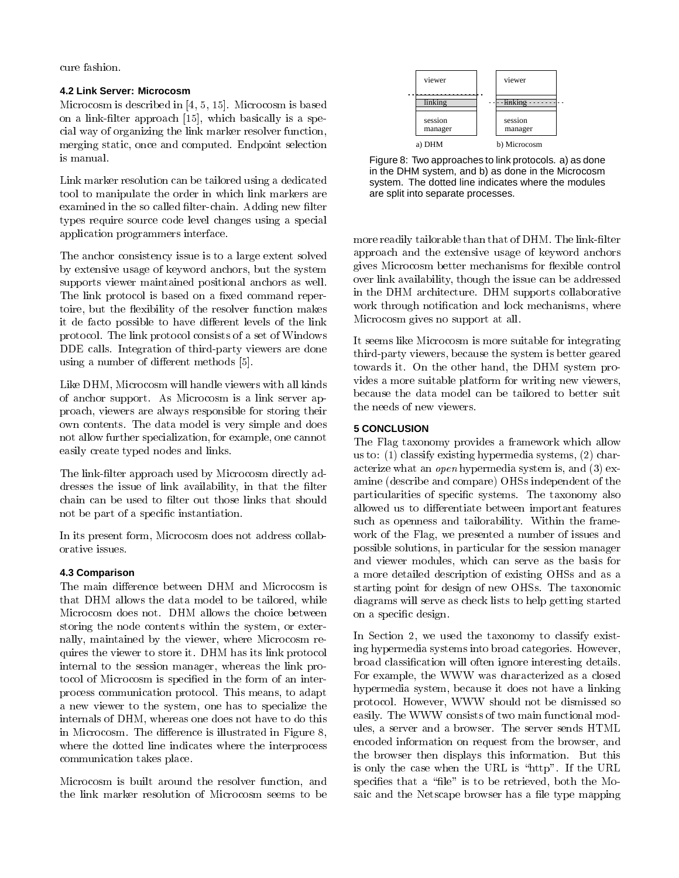cure fashion.

## **4.2 Link Server: Microcosm**

Microcosm is described in [4, 5, 15]. Microcosm is based on a link-filter approach  $[15]$ , which basically is a special way of organizing the link marker resolver function, merging static, once and computed. Endpoint selection is manual.

Link marker resolution can be tailored using a dedicated tool to manipulate the order in which link markers are examined in the so called filter-chain. Adding new filter types require source code level changes using a special application programmers interface.

The anchor consistency issue is to a large extent solved by extensive usage of keyword anchors, but the system supports viewer maintained positional anchors as well. The link protocol is based on a fixed command repertoire, but the flexibility of the resolver function makes it de facto possible to have different levels of the link protocol. The link protocol consists of a set of Windows DDE calls. Integration of third-party viewers are done using a number of different methods [5].

Like DHM, Microcosm will handle viewers with all kinds of anchor support. As Microcosm is a link server approach, viewers are always responsible for storing their own contents. The data model is very simple and does not allow further specialization, for example, one cannot easily create typed nodes and links.

The link-filter approach used by Microcosm directly addresses the issue of link availability, in that the filter chain can be used to filter out those links that should not be part of a specic instantiation.

In its present form, Microcosm does not address collaborative issues.

## **4.3 Comparison**

The main difference between DHM and Microcosm is that DHM allows the data model to be tailored, while Microcosm does not. DHM allows the choice between storing the node contents within the system, or externally, maintained by the viewer, where Microcosm requires the viewer to store it. DHM has its link protocol internal to the session manager, whereas the link protocol of Microcosm is specied in the form of an interprocess communication protocol. This means, to adapt a new viewer to the system, one has to specialize the internals of DHM, whereas one does not have to do this in Microcosm. The difference is illustrated in Figure 8, where the dotted line indicates where the interprocess communication takes place.

Microcosm is built around the resolver function, and the link marker resolution of Microcosm seems to be



Figure 8: Two approaches to link protocols. a) as done in the DHM system, and b) as done in the Microcosm system. The dotted line indicates where the modules are split into separate processes.

more readily tailorable than that of DHM. The link-filter approach and the extensive usage of keyword anchors gives Microcosm better mechanisms for flexible control over link availability, though the issue can be addressed in the DHM architecture. DHM supports collaborative work through notication and lock mechanisms, where Microcosm gives no support at all.

It seems like Microcosm is more suitable for integrating third-party viewers, because the system is better geared towards it. On the other hand, the DHM system provides a more suitable platform for writing new viewers, because the data model can be tailored to better suit the needs of new viewers.

## **5 CONCLUSION**

The Flag taxonomy provides a framework which allow us to: (1) classify existing hypermedia systems, (2) characterize what an open hypermedia system is, and (3) examine (describe and compare) OHSs independent of the particularities of specic systems. The taxonomy also allowed us to differentiate between important features such as openness and tailorability. Within the frame work of the Flag, we presented a number of issues and possible solutions, in particular for the session manager and viewer modules, which can serve as the basis for a more detailed description of existing OHSs and as a starting point for design of new OHSs. The taxonomic diagrams will serve as check lists to help getting started on a specic design.

In Section 2, we used the taxonomy to classify existing hypermedia systems into broad categories. However, broad classication will often ignore interesting details. For example, the WWW was characterized as a closed hypermedia system, because it does not have a linking protocol. However, WWW should not be dismissed so easily. The WWW consists of two main functional modules, a server and a browser. The server sends HTML encoded information on request from the browser, and the browser then displays this information. But this is only the case when the URL is "http". If the URL specifies that a "file" is to be retrieved, both the Mosaic and the Netscape browser has a file type mapping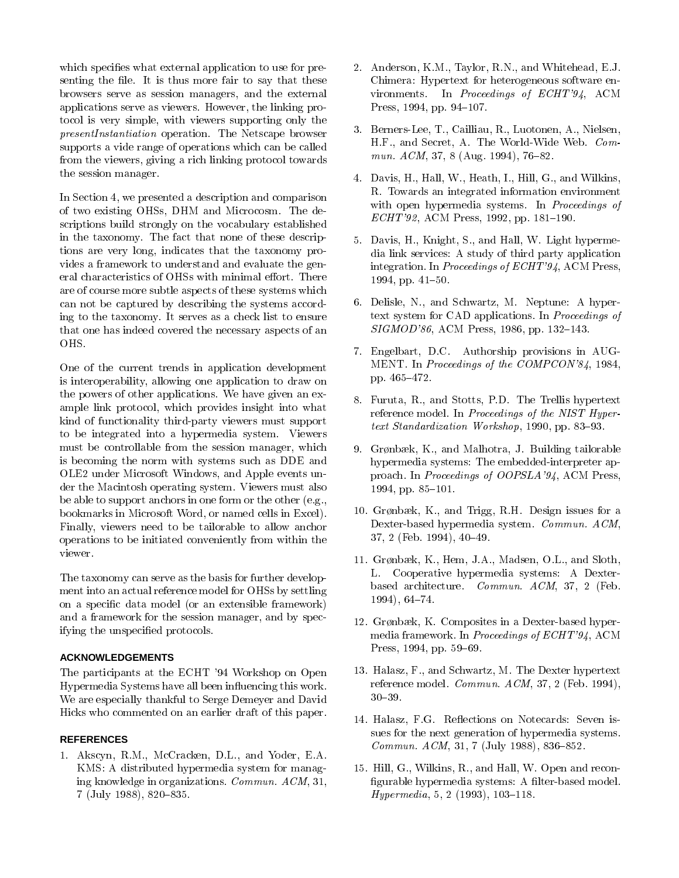which specifies what external application to use for presenting the file. It is thus more fair to say that these browsers serve as session managers, and the external applications serve as viewers. However, the linking protocol is very simple, with viewers supporting only the presentInstantiation operation. The Netscape browser supports a vide range of operations which can be called from the viewers, giving a rich linking protocol towards the session manager.

In Section 4, we presented a description and comparison of two existing OHSs, DHM and Microcosm. The descriptions build strongly on the vocabulary established in the taxonomy. The fact that none of these descriptions are very long, indicates that the taxonomy provides a framework to understand and evaluate the general characteristics of OHSs with minimal effort. There are of course more subtle aspects of these systems which can not be captured by describing the systems according to the taxonomy. It serves as a check list to ensure that one has indeed covered the necessary aspects of an OHS.

One of the current trends in application development is interoperability, allowing one application to draw on the powers of other applications. We have given an example link protocol, which provides insight into what kind of functionality third-party viewers must support to be integrated into a hypermedia system. Viewers must be controllable from the session manager, which is becoming the norm with systems such as DDE and OLE2 under Microsoft Windows, and Apple events under the Macintosh operating system. Viewers must also be able to support anchors in one form or the other (e.g., bookmarks in Microsoft Word, or named cells in Excel). Finally, viewers need to be tailorable to allow anchor operations to be initiated conveniently from within the

The taxonomy can serve as the basis for further development into an actual reference model for OHSs by settling on a specic data model (or an extensible framework) and a framework for the session manager, and by specifying the unspecied protocols.

## **ACKNOWLEDGEMENTS**

The participants at the ECHT '94 Workshop on Open Hypermedia Systems have all been in
uencing this work. We are especially thankful to Serge Demeyer and David Hicks who commented on an earlier draft of this paper.

#### **REFERENCES**

1. Akscyn, R.M., McCracken, D.L., and Yoder, E.A. KMS: A distributed hypermedia system for managing knowledge in organizations. Commun. ACM, 31, 7 (July 1988), 820-835.

- 2. Anderson, K.M., Taylor, R.N., and Whitehead, E.J. Chimera: Hypertext for heterogeneous software environments. In Proceedings of ECHT'94, ACM Press, 1994, pp. 94-107.
- 3. Berners-Lee, T., Cailliau, R., Luotonen, A., Nielsen, H.F., and Secret, A. The World-Wide Web. Commun.  $ACM$ , 37, 8 (Aug. 1994), 76-82.
- 4. Davis, H., Hall, W., Heath, I., Hill, G., and Wilkins, R. Towards an integrated information environment with open hypermedia systems. In *Proceedings of*  $ECHT'92$ , ACM Press, 1992, pp. 181-190.
- 5. Davis, H., Knight, S., and Hall, W. Light hypermedia link services: A study of third party application integration. In Proceedings of ECHT'94, ACM Press, 1994, pp. 41-50.
- 6. Delisle, N., and Schwartz, M. Neptune: A hypertext system for CAD applications. In Proceedings of SIGMOD'86, ACM Press, 1986, pp. 132-143.
- 7. Engelbart, D.C. Authorship provisions in AUG-MENT. In Proceedings of the COMPCON'84, 1984, pp. 465-472.
- 8. Furuta, R., and Stotts, P.D. The Trellis hypertext reference model. In Proceedings of the NIST Hyper $text$  Standardization Workshop, 1990, pp. 83–93.
- 9. Grønbæk, K., and Malhotra, J. Building tailorable hypermedia systems: The embedded-interpreter approach. In Proceedings of OOPSLA'94, ACM Press, 1994, pp. 85-101.
- 10. Grønbæk, K., and Trigg, R.H. Design issues for a Dexter-based hypermedia system. Commun. ACM,  $37, 2$  (Feb. 1994),  $40-49$ .
- 11. Grønbæk, K., Hem, J.A., Madsen, O.L., and Sloth, L. Cooperative hypermedia systems: A Dexterbased architecture. Commun. ACM, 37, 2 (Feb. 1994), 64-74.
- 12. Grønbæk, K. Composites in a Dexter-based hypermedia framework. In Proceedings of ECHT'94, ACM Press, 1994, pp. 59-69.
- 13. Halasz, F., and Schwartz, M. The Dexter hypertext reference model. Commun. ACM, 37, 2 (Feb. 1994),
- 14. Halasz, F.G. Reflections on Notecards: Seven issues for the next generation of hypermedia systems. Commun.  $ACM$ , 31, 7 (July 1988), 836-852.
- 15. Hill, G., Wilkins, R., and Hall, W. Open and recon figurable hypermedia systems: A filter-based model.  $Hypermedia, 5, 2 (1993), 103–118.$